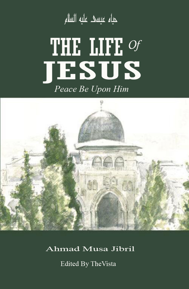حياء عيسى عليه السلام

# THE LIFE OF<br>TESUS Peace Be Upon Him



Ahmad Musa Jibril

Edited By TheVista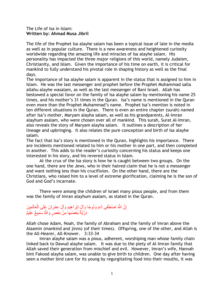## The Life of Isa in Islam: **Written by: Ahmad Musa Jibril**

The life of the Prophet Isa alayhe salam has been a topical issue of late in the media as well as in popular culture. There is a new awareness and heightened curiosity worldwide regarding the amazing life and miracles of Isa alayhe salam. His personality has impacted the three major religions of this world, namely Judaism, Christianity, and Islam. Given the importance of his time on earth, it is critical for mankind to fully understand his pivotal role in shaping history as well as the final days.

The importance of Isa alayhe salam is apparent in the status that is assigned to him in Islam. He was the last messenger and prophet before the Prophet Muhammad salla allahu alayhe wasalam, as well as the last messenger of Bani Israel. Allah has bestowed a special favor on the family of Isa alayhe salam by mentioning his name 25 times, and his mother"s 31 times in the Quran. Isa"s name is mentioned in the Quran even more than the Prophet Muhammad"s name. Prophet Isa"s mention is noted in ten different situations in the Quran. There is even an entire chapter (surah) named after Isa"s mother, Maryam alayha salam, as well as his grandparents, Al-Imran alayhum asalam, who were chosen over all of mankind. This surah, Surat Al-Imran, also reveals the story of Maryam alayha salam. It outlines a description of her lineage and upbringing. It also relates the pure conception and birth of Isa alayhe salam.

The fact that Isa's story is mentioned in the Quran, highlights his importance. There are incidents mentioned related to him or his mother in one part, and then completed in another. This adds to the reader"s curiosity concerning his status and keeps one interested in his story, and his revered status in Islam.

At the crux of the Isa story is how he is caught between two groups. On the one hand, there are the Jews, who in their hatred claim that he is not a messenger and want nothing less than his crucifixion. On the other hand, there are the Christians, who raised him to a level of extreme glorification, claiming he is the son of God and God"s incarnate.

There were among the children of Israel many pious people, and from them was the family of Imran alayhum asalam, as stated in the Quran.

## إِنَّ اللَّهَ اصْطَفَى آدَمَ وَنُوحًا وَآلٍَ إِبْرَاهِيمَ وَآلَ عِمْرَانَ عَلَى الْعَالَمِينَ ْص ِإ ِإ ذرَّيَّةً بَعْضُهَا مِنْ بَعْضٍ وَاللَّهُ سَمِيعٌ عَلِيمٌ

Allah chose Adam, Noah, the family of Abraham and the family of Imran above the Alaamin (mankind and jinns) (of their times). Offspring, one of the other, and Allah is the All-Hearer, All-Knower. 3:33-34

Imran alayhe salam was a pious, adherent, worshiping man whose family chain linked back to Dawud alayhe salam. It was due to the piety of Al-Imran family that Allah saved their generation from mischief and evil. However, Imran"s wife, Hannah bint Fakood alayha salam, was unable to give birth to children. One day after having seen a mother bird care for its young by regurgitating food into their mouths, it was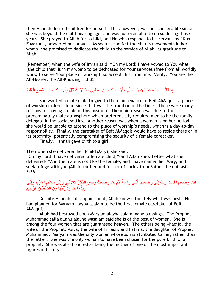then Hannah desired children for herself. This, however, was not conceivable since she was beyond the child-bearing age, and was not even able to do so during those years. She prayed to Allah for a child, and He who responds to his servant by "Kun Fayakun", answered her prayer. As soon as she felt the child"s movements in her womb, she promised to dedicate the child to the service of Allah, as gratitude to Allah.

(Remember) when the wife of Imran said, "Oh my Lord! I have vowed to You what (the child that) is in my womb to be dedicated for Your services (free from all worldly work; to serve Your place of worship), so accept this, from me. Verily, You are the All-Hearer, the All-Knowing. 3:35

#### إِذْ قَالَتِ امْرَ أَةُ عِمْرَ انَ رَبِّ إِنِّي نَذَرْتُ لَكَ مَا فِي بَطْنِي مُحَرَّرًا فَتَقَبَّلْ مِنِّي إِنَّكَ أَنْتَ السَّمِيعُ الْعَلِيمُ ْص َط َط

She wanted a male child to give to the maintenance of Beit AlMaqdis, a place of worship in Jerusalem, since that was the tradition of the time. There were many reasons for having a male in this position. The main reason was due to the predominately male atmosphere which preferentially required men to be the family delegate in the social setting. Another reason was when a woman is on her period, she would be unable to attend to the place of worship"s needs, which is a day-to-day responsibility. Finally, the caretaker of Beit AlMaqdis would have to reside there or in its proximity, potentially compromising the security of a female caretaker.

Finally, Hannah gave birth to a girl:

Then when she delivered her (child Mary), she said:

"Oh my Lord! I have delivered a female child,"-and Allah knew better what she delivered- "And the male is not like the female, and I have named her Mary, and I seek refuge with you (Allah) for her and for her offspring from Satan, the outcast." 3:36

#### فَلَمَّا وَضَعَتْهَا قَالَتْ رَبِّ إِنِّي وَضَعْتُهَا أُنْثَى وَاللَّهُ أَعْلَمُ بِمَا وَضَعَتْ وَلَيْسَ الذَّكَرُ كَالْأُنْثَى وَإِنِّي سَمَّيْتُهَا مَرْيَمَ وَإِنِّي َط ا<br>أ أُعِيذُهَا بِكَ وَذُرِّيَّتَهَا مِنَ الشَّيْطَانِ الْرَّجِيمِ ِإ ُن

Despite Hannah"s disappointment, Allah knew ultimately what was best. He had planned for Maryam alayha asalam to be the first female caretaker of Beit AlMaqdis.

Allah had bestowed upon Maryam alayha salam many blessings. The Prophet Muhammad salla allahu alayhe wasalam said she is of the best of women. She is among the four women that are guaranteed heaven. The others being Khadija, the wife of the Prophet, Asiya, the wife of Fir"aun, and Fatima, the daughter of Prophet Muhammad. Maryam was the only woman whose son is attributed to her, rather than the father. She was the only woman to have been chosen for the pure birth of a prophet. She was also honored as being the mother of one of the most important figures in history.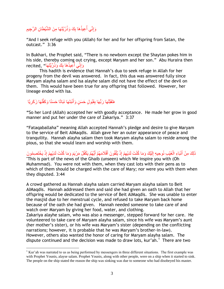## إِنِّي أُعِيذُهَا بِكَ وَذُرِّيَّتَهَا مِنَ الشَّيْطَانِ الرَّجِيمِ ِإ ا<br>أستقام المستقبل المستقبل المستقبل المستقبل المستقبل المستقبل المستقبل المستقبل المستقبل المستقبل المستقبل المس<br>المستقبل المستقبل المستقبل المستقبل المستقبل المستقبل المستقبل المستقبل المستقبل المستقبل المستقبل المستقبل

"And I seek refuge with you (Allah) for her and for her offspring from Satan, the outcast." 3:36

In Bukhari, the Prophet said, "There is no newborn except the Shaytan pokes him in his side, thereby coming out crying, except Maryam and her son." Abu Huraira then recited, "إِنِّي أَعِيذُهَا بِكَ وَذُرِّيَّتَهَا ِإ ُن

This hadith is evidence that Hannah"s dua to seek refuge in Allah for her progeny from the devil was answered. In fact, this dua was answered fully since Maryam alayha salam and Isa alayhe salam did not have the effect of the devil on them. This would have been true for any offspring that followed. However, her lineage ended with Isa.

## فَتَقَبَّلَهَا رَبُّهَا بِقَبُولٍ حَسَنٍ وَأَنْبَتَهَا نَبَاتًا حَسَنًا وَكَفَّلَهَا زَكَرِيَّا َط ْص

 $\overline{a}$ 

**"**So her Lord (Allah) accepted her with goodly acceptance. He made her grow in good manner and put her under the care of Zakariya." 3:37

"Fataqaballaha" meaning Allah accepted Hannah"s pledge and desire to give Maryam to the service of Beit AlMaqdis. Allah gave her an outer appearance of peace and tranquility. Hannah alayha salam then took Maryam alayha salam to reside among the pious, so that she would learn and worship with them.

ذَلِكَ مِنْ أَنْبَاءِ الْغَيْبِ نُوحِيهِ إِلَيْكَ وَمَا كُنْتَ لَدَيْهِمْ إِذْ يُلْقُونَ أَقْلَامَهُمْ أَيُّهُمْ يَكْفُلُ مَرْيَمَ وَمَا كُنْتَ لَدَيْهِمْ إِذْ يَخْتَصِمُونَ َط َط ْص اَط ِإ ْص َط "This is part of the news of the Ghaib (unseen) which We inspire you with (Oh Muhammad). You were not with them, when they cast lots with their pens as to which of them should be charged with the care of Mary; nor were you with them when they disputed. 3:44

A crowd gathered as Hannah alayha salam carried Maryam alayha salam to Beit AlMaqdis. Hannah addressed them and said she had given an oath to Allah that her offspring would be dedicated to the service of Beit AlMaqdis. She was unable to enter the masjid due to her menstrual cycle, and refused to take Maryam back home because of the oath she had given. Hannah needed someone to take care of and watch over Maryam by giving her food, water, and clothing. Zakariya alayhe salam, who was also a messenger, stepped forward for her care. He volunteered to take care of Maryam alayha salam, since his wife was Maryam"s aunt (her mother"s sister), or his wife was Maryam"s sister (depending on the conflicting narrations; however, it is probable that he was Maryam"s brother-in-law). However, others also wanted the honor of caring for Maryam alayha salam. The dispute continued and the decision was made to draw lots, kur'ah.<sup>1</sup> There are two

<sup>&</sup>lt;sup>1</sup> Kur'ah was narrated to us as being performed by messengers in three different situations. The first example was with Prophet Younis, alayse salam. Prophet Younis, along with other people, were on a ship when it started to sink. The people on the ship stated the reason the ship was sinking was due to someone who had disobeyed his master.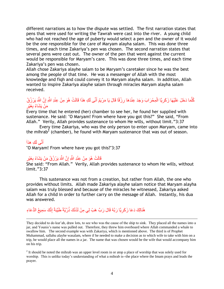different narrations as to how the dispute was settled. The first narration states that pens that were used for writing the Tawrah were cast into the river. A young child who had not reached the age of puberty would select a pen and the owner of it would be the one responsible for the care of Maryam alayha salam. This was done three times, and each time Zakariya's pen was chosen. The second narration states that several pens were cast out. The owner of the pen that went against the current would be responsible for Maryam"s care. This was done three times, and each time Zakariya's pen was chosen.

Allah chose Zakariya alayhe salam to be Maryam"s caretaker since he was the best among the people of that time. He was a messenger of Allah with the most knowledge and fiqh and could convey it to Maryam alayha salam. In addition, Allah wanted to inspire Zakariya alayhe salam through miracles Maryam alayha salam received.

#### كُلُّمَا دَخَلَ عَلَيْهَا زَكَرِيَّا الْمِحْرَابَ وَجَدَ عِنْدَهَا رِزْقًا قَالَ يَا مَرْيَمُ أَنَّى لَكِ هَذَا قَالَتْ هُوَ مِنْ عِنْدِ اللَّهِ إِنَّ اللَّهَ يَرْزُقُ ِإ َط ِإ ْص ِإ َّن ِإ مَنْ يَشَاءُ بِغَيْرِ ِإ

Every time that he entered (her) chamber to see her, he found her supplied with sustenance. He said: "O Maryam! From where have you got this?" She said, "From Allah." Verily, Allah provides sustenance to whom He wills, without limit."3:37

Every time Zakariya, who was the only person to enter upon Maryam, came into the mihrab<sup>2</sup> (chamber), he found with Maryam sustenance that was out of season.

## أَنَّى لَكِ هذا*َ* َط

 $\overline{a}$ 

"O Maryam! From where have you got this?"3:37

#### ِإ قَالَتْ هُوَ مِنْ عِنْدِ اللَّهِ إِنَّ اللَّهَ يَرْزُقُ مَنْ يَشَاءُ بِغَيْرِ ِإ ِإ

She said: "From Allah." Verily, Allah provides sustenance to whom He wills, without limit."3:37

This sustenance was not from a creation, but rather from Allah, the one who provides without limits. Allah made Zakariya alayhe salam notice that Maryam alayha salam was truly blessed and because of the miracles he witnessed, Zakariya asked Allah for a child in order to further carry on the message of Allah. Instantly, his dua was answered.

## هُنَالِكَ دَعَا زَكَرِيَّا رَبَّهُ قَالَ رَبِّ هَبْ لِي مِنْ لَدُنْكَ ذُرِّيَّةً طَيِّبَةً إِنَّكَ سَمِيعُ الدُّعَاءِ ِإ

They decided to do kur'ah, draw lots, to see who was the cause of the ship to sink. They placed all the names into a jar, and Younis's name was pulled out. Therefore, they threw him overboard where Allah commanded a whale to swallow him. The second example was with Zakariya, which is mentioned above. The third is of Prophet Muhammad, sallahu alayhe wasalam, where if he needed to make a decision as to which wife to take with him on a trip, he would place all the names in a jar. The name that was chosen would be the wife that would accompany him on his trip.

 $2<sup>2</sup>$  It should be noted the mihrab was an upper level room in or atop a place of worship that was solely used for worship. This is unlike today's understanding of what a mihrab is--the place where the Imam prays and leads the prayer.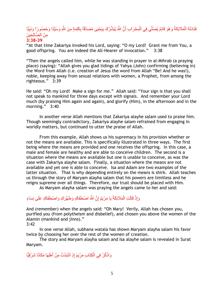#### فَنَادَتْهُ الْمَلَائِكَةُ وَهُوَ قَائِمٌ يُصَلِّي فِي الْمِحْرَابِ أَنَّ اللَّهَ يُبَشِّرُكَ بِيَحْيَى مُصَدِّقًا بِكَلِمَةٍ مِنَ اللَّهِ وَسَيِّدًا وَحَصُورًا وَنَبِيًّا ًح ِإ ِإ ِإ َط ْص ْص ِ منَ الْصَّالْحِينَ **3:38-39**

"At that time Zakariya invoked his Lord, saying: "O my Lord! Grant me from You, a good offspring. You are indeed the All-Hearer of invocation." 3:38

"Then the angels called him, while he was standing in prayer in al-Mihrab (a praying place) (saying): "Allah gives you glad tidings of Yahya (John) confirming (believing in) the Word from Allah (i.e. creation of Jesus the word from Allah "Be! And he was!), noble, keeping away from sexual relations with women, a Prophet, from among the righteous." 3:39

He said: "Oh my Lord! Make a sign for me." Allah said: "Your sign is that you shall not speak to mankind for three days except with signals. And remember your Lord much (by praising Him again and again), and glorify (Him), in the afternoon and in the morning." 3:40

In another verse Allah mentions that Zakariya alayhe salam used to praise him. Though seemingly contradictory, Zakariya alayhe salam refrained from engaging in worldly matters, but continued to utter the praise of Allah.

From this example, Allah shows us his supremacy in his provision whether or not the means are available. This is specifically illustrated in three ways. The first being where the means are provided and one receives the offspring. In this case, a male and female are healthy and are able to conceive children. The second is a situation where the means are available but one is unable to conceive, as was the case with Zakariya alayhe salam. Finally, a situation where the means are not available and yet one is able to conceive. Isa and Adam are two examples of the latter situation. That is why depending entirely on the means is shirk. Allah teaches us through the story of Maryam alayha salam that his powers are limitless and he reigns supreme over all things. Therefore, our trust should be placed with Him.

As Maryam alayha salam was praying the angels came to her and said:

#### إِذْ قَالَتِ الْمَلَائِكَةُ يَا مَرْيَمُ إِنَّ اللَّهَ اصْطُفَاكِ وَطَهَّرَكِ وَاصْطُفَاكِ عَلَى نِسَاءِ ِإ ْص

And (remember) when the angels said: "Oh Mary! Verily, Allah has chosen you, purified you (from polytheism and disbelief), and chosen you above the women of the Alamin (mankind and jinns)."

3:42

In one verse Allah, subhana watala has shown Maryam alayha salam his favor twice by choosing her over the rest of the women of creation.

The story and Maryam alayha salam and Isa alayhe salam is revealed in Surat Maryam.

ِاذْكُرْ فِي الْكِتَابِ مَرْيَمَ إِذِ انْتَبَذَتْ مِنْ أَهْلِهَا مَكَانًا شَرْقِيًّا َط َط ْص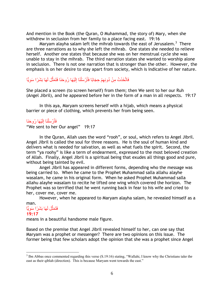And mention in the Book (the Quran, O Muhammad, the story of) Mary, when she withdrew in seclusion from her family to a place facing east. 19:16

Maryam alayha salam left the mihrab towards the east of Jerusalem.<sup>3</sup> There are three narrations as to why she left the mihrab. One states she needed to relieve herself. Another one states that because she was on her menstrual cycle she was unable to stay in the mihrab. The third narration states she wanted to worship alone in seclusion. There is not one narration that is stronger than the other. However, the emphasis is on her desire to stay apart from society, which is indicative of her nature.

#### فَاتَّخَذَتْ مِنْ دُونِهِمْ حِجَابًا فَأَرْسَلْنَا إِلَيْهَا رُوحَنَا فَتَمَثَّلَ لَهَا بَشَرًا سَوِيًّا ًح ِإ َّن اَط ِإ ْص َط

She placed a screen (to screen herself) from them; then We sent to her our Ruh (Angel Jibril), and he appeared before her in the form of a man in all respects. 19:17

In this aya, Maryam screens herself with a hijab, which means a physical barrier or piece of clothing, which prevents her from being seen.

#### فَأَرْسَلْنَا إِلَيْهَا رُوحَنَا اَط ِإ ْص َط

"We sent to her Our angel" 19:17

In the Quran, Allah uses the word "rooh", or soul, which refers to Angel Jibril. Angel Jibril is called the soul for three reasons. He is the soul of human kind and delivers what is needed for salvation, as well as what fuels the spirit. Second, the term "ya roohy" is like a term of endearment, expressed to the most beloved creation of Allah. Finally, Angel Jibril is a spiritual being that exudes all things good and pure, without being tainted by evil.

Angel Jibril has appeared in different forms, depending who the message was being carried to. When he came to the Prophet Muhammad salla allahu alayhe wasalam, he came in his original form. When he asked Prophet Muhammad salla allahu alayhe wasalam to recite he lifted one wing which covered the horizon. The Prophet was so terrified that he went running back in fear to his wife and cried to her, cover me, cover me.

However, when he appeared to Maryam alayha salam, he revealed himself as a

#### man. فَثَمَثَّلَ لَـهَا بَشَرًا سَوِيًّا ًح ِإ َّن **19:17**

 $\overline{a}$ 

means in a beautiful handsome male figure.

Based on the premise that Angel Jibril revealed himself to her, can one say that Maryam was a prophet or messenger? There are two opinions on this issue. The former being that few scholars adopt the opinion that she was a prophet since Angel

 $3$  Ibn Abbas once commented regarding this verse (S.19:16) stating, "Wallahi, I know why the Christians take the east as their qiblah (direction). This is because Maryam went towards the east."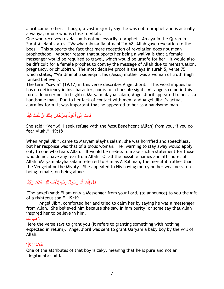Jibril came to her. Though, a vast majority say she was not a prophet and is actually a waliya, or one who is close to Allah.

One who receives revelation is not necessarily a prophet. An aya in the Quran in Surat Al-Nahl states, "Wawha rabuka ila al-nahl"16:68, Allah gave revelation to the bees. This supports the fact that mere reception of revelation does not mean prophethood. Another reason that supports her being a waliya is that a female messenger would be required to travel, which would be unsafe for her. It would also be difficult for a female prophet to convey the message of Allah due to menstruation, pregnancy, or childbirth. The most decisive proof is the aya in surah 5, verse 75 which states, "Wa Ummuhu sideeqa", his (Jesus) mother was a woman of truth (high ranked believer).

The term "sawia" (19:17) in this verse describes Angel Jibril. This word implies he has no deficiency in his character, nor is he a horrible sight. All angels come in this form. In order not to frighten Maryam alayha salam, Angel Jibril appeared to her as a handsome man. Due to her lack of contact with men, and Angel Jibril's actual alarming form, it was important that he appeared to her as a handsome man.

#### قَالَتْ إِنِّي أَعُوذُ بِالرَّحْمَ*نِ م*ِنْكَ إِنْ كُنْتَ تَقِيًّا ِإ ِإ َط

She said: "Verily! I seek refuge with the Most Beneficent (Allah) from you, if you do fear Allah." 19:18

When Angel Jibril came to Maryam alayha salam, she was horrified and speechless, but her response was that of a pious woman. Her warning to stay away would apply only to one who fears Allah. It would be useless to make such a statement for those who do not have any fear from Allah. Of all the possible names and attributes of Allah, Maryam alayha salam referred to Him as ArRahman, the merciful, rather than the Vengeful or the Mighty. She appealed to His having mercy on her weakness, on being female, on being alone.

## قَالَ إِنَّمَا أَنَا رَسُولُ رَبِّكِ لِأَهَبَ لَكِ غُلَامًا زَكِيًّا َط

(The angel) said: "I am only a Messenger from your Lord, (to announce) to you the gift of a righteous son." 19:19

Angel Jibril comforted her and tried to calm her by saying he was a messenger from Allah. She believed him because she saw in him purity, or some say that Allah inspired her to believe in him.

# لِأَهَبَ <u>أَل</u>َٰئِ

Here the verse says to grant you (it refers to granting something with nothing expected in return). Angel Jibril was sent to grant Maryam a baby boy by the will of Allah.

# غُلامًا زَكِيًّا

One of the attributes of that boy is zaky, meaning that he is pure and not an illegitimate child.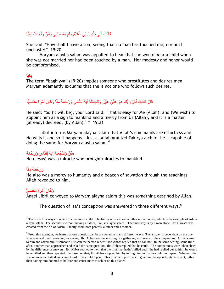### قَالَتْ أَنَّى يَكُونُ لِي غُلَامٌ وَلَمْ يَمْسَسْنِي بَشَرٌ وَلَمْ أَكُ بَغِيًّا َط َط

She said: "How shall I have a son, seeing that no man has touched me, nor am I unchaste?" 19:20

Maryam alayha salam was appalled to hear that she would bear a child when she was not married nor had been touched by a man. Her modesty and honor would be compromised.

# بَغِيًّا

The term "baghiyya" (19:20) implies someone who prostitutes and desires men. Maryam adamantly exclaims that she is not one who follows such desires.

## قَالَ كَذَلِكِ قَالَ رَبُّكِ هُوَ عَلَيَّ هَيِّنٌ وَلِنَجْعَلَهُ آيَةً لِلنَّاسِ وَرَحْمَةً مِنَّا وَكَانَ أَمْرًا مَقْضِيًّا َط

He said: "So (it will be), your Lord said: "That is easy for Me (Allah): and (We wish) to appoint him as a sign to mankind and a mercy from Us (Allah), and it is a matter (already) decreed, (by Allah).' " 19:21

Jibril informs Maryam alayha salam that Allah"s commands are effortless and He wills it and so it happens. Just as Allah granted Zakirya a child, he is capable of doing the same for Maryam alayha salam.<sup>4</sup>

# هَيِّنٌ وَلِنَجْعَلَهُ آيَةً لِلنَّاسِ وَرَحْمَة

He (Jesus) was a miracle who brought miracles to mankind.

# وَرَحْمَةً مِنَّا

 $\overline{a}$ 

He also was a mercy to humanity and a beacon of salvation through the teachings Allah revealed to him.

## وَكَانَ أَمْرًا مَقْضِيٍّ َط

Angel Jibril conveyed to Maryam alayha salam this was something destined by Allah.

The question of Isa's conception was answered in three different ways.<sup>5</sup>

<sup>&</sup>lt;sup>4</sup> There are four ways in which to conceive a child. The first way is without a father nor a mother, which is the example of Adam alayse salam. The second is without having a father, like Isa alayhe salam. The third way is by a man alone, like Hawa'a was created from the rib of Adam. Finally, from both parents, a father and a mother.

<sup>&</sup>lt;sup>5</sup> From this example, we learn that one question can be answered in many different ways. The answer is dependent on the one who asks and their reasoning for asking. Ibn Abbas was once sitting in a gathering with some of the companions. A man came to him and asked him if someone kills can the person repent. Ibn Abbas replied that he can not. In the same setting, some time after, another man approached and asked the same question. Ibn Abbas replied that he could. The companions were taken aback by the difference in answers. Ibn Abbas replied to them that the first man hadn't killed and if he had replied yes to him, he would have killed and then repented. So based on that, Ibn Abbas stopped him by telling him no that he could not repent. Whereas, the second man had killed and came to ask if he could repent. This time he replied yes to give him the opportunity to repent, rather than having him doomed to hellfire and cause more mischief on this planet.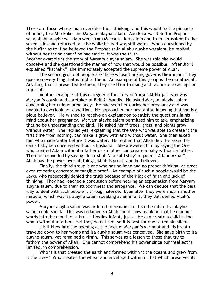There are those whose iman overrides their thinking, and this would be the pinnacle of belief, like Abu Bakr and Maryam alayha salam. Abu Bakr was told the Prophet salla allahu alayhe wasalam went from Mecca to Jerusalem and from Jerusalem to the seven skies and returned, all the while his bed was still warm. When questioned by the Kuffar as to if he believed the Prophet salla allahu alayhe wasalam, he replied without hesitation that if he had said it, it was the truth.

Another example is the story of Maryam alayha salam. She was told she would conceive and she questioned the manner of how that would be possible. After Jibril explained "kathalik", she immediately accepted the supreme power of Allah.

The second group of people are those whose thinking governs their iman. They question everything that is told to them. An example of this group is the mu"atazilah. Anything that is presented to them, they use their thinking and rationale to accept or reject it.

Another example of this category is the story of Yousef Al-Najjar, who was Maryam"s cousin and caretaker of Beit Al-Maqdis. He asked Maryam alayha salam concerning her unique pregnancy. He had seen her during her pregnancy and was unable to overlook her condition. He approached her hesitantly, knowing that she is a pious believer. He wished to receive an explanation to satisfy the questions in his mind about her pregnancy. Maryam alayha salam permitted him to ask, emphasizing that he be understanding and kind. He asked her if trees, grass, and plants grow without water. She replied yes, explaining that the One who was able to create it the first time from nothing, can make it grow with and without water. She then asked him who made water before it was water. He replied that Allah did. He asked her can a baby be conceived without a husband. She answered him by saying the One who created Adam without a father or a mother can create a baby without a father. Then he responded by saying "Inna Allah "ala kulli shay"in qadeer, Allahu Akbar", Allah has the power over all things, Allah is great, and he believed.

Finally, the third group is one who has no iman and no proper thinking, at times even rejecting concrete or tangible proof. An example of such a people would be the Jews, who repeatedly denied the truth because of their lack of faith and lack of thinking. They had reached a conclusion before hearing an explanation from Maryam alayha salam, due to their stubbornness and arrogance. We can deduce that the best way to deal with such people is through silence. Even after they were shown another miracle, which was Isa alayhe salam speaking as an infant, they still denied Allah"s power.

Maryam alayha salam was ordered to remain silent so the infant Isa alayhe salam could speak. This was ordained so Allah could show mankind that he can put words into the mouth of a breast-feeding infant, just as He can create a child in the womb without a father. Yet they do not see, so it is best for one to remain silent.

Jibril blew into the opening at the neck of Maryam"s garment and his breath traveled down to her womb and Isa alayhe salam was conceived. She gave birth to Isa alayhe salam, yet remained a virgin. This serves as a lesson to those that try to fathom the power of Allah. One cannot comprehend his power since our intellect is limited, in comprehension.

Who is it that created the earth and formed within it the oceans and grew from it the trees? Who created the wheat and enveloped within it that which preserves it?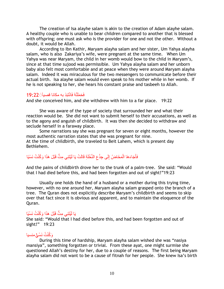The creation of Isa alayhe salam is akin to the creation of Adam alayhe salam. A healthy couple who is unable to bear children compared to another that is blessed with offspring; one must ask who is the provider for one and not the other. Without a doubt, it would be Allah.

According to Ibn Kathir, Maryam alayha salam and her sister, Um Yahya alayha salam, who is also Zakariya's wife, were pregnant at the same time. When Um Yahya was near Maryam, the child in her womb would bow to the child in Maryam"s, since at that time sujood was permissible. Um Yahya alayha salam and her unborn baby also felt most comfortable and at peace when they were around Maryam alayha salam. Indeed it was miraculous for the two messengers to communicate before their actual birth. Isa alayhe salam would even speak to his mother while in her womb. If he is not speaking to her, she hears his constant praise and tasbeeh to Allah.

# فَحَمَلَتْهُ فَانْتَبَذ به مكانا قصياَ۞22:19

And she conceived him, and she withdrew with him to a far place. 19:22

She was aware of the type of society that surrounded her and what their reaction would be. She did not want to submit herself to their accusations, as well as to the agony and anguish of childbirth. It was then she decided to withdraw and seclude herself in a faraway place.

Some narrations say she was pregnant for seven or eight months, however the most authentic narration states that she was pregnant for nine. At the time of childbirth, she traveled to Beit Lahem, which is present day Bethlehem.

#### فَأَجَاءَهَا الْمَخَاضُ إِلَى جِذْعِ النَّخْلَةِ قَالَتْ يَا لَيْتَنِي مِتُّ قَبْلَ هَذَا وَكُنْتُ نَسْيًا ِإ ِإ ْص َط

And the pains of childbirth drove her to the trunk of a palm-tree. She said: "Would that I had died before this, and had been forgotten and out of sight!"19:23

Usually one holds the hand of a husband or a mother during this trying time, however, with no one around her, Maryam alayha salam grasped onto the branch of a tree. The Quran does not explicitly describe Maryam"s childbirth and seems to skip over that fact since it is obvious and apparent, and to maintain the eloquence of the Quran.

# يَا لَيْتَنِي مِتُّ قَبْلَ هَذَا وَكُنْتُ نَسْيًا

She said: "Would that I had died before this, and had been forgotten and out of sight!" 19:23

# وَكُنْتُ نَسْـئٍ منسيا

During this time of hardship, Maryam alayha salam wished she was "nasiya mansiya", something forgotten or trivial. From these ayat, one might surmise she questioned Allah"s destiny for her, due to a couple of reasons. The first being Maryam alayha salam did not want to be a cause of fitnah for her people. She knew Isa"s birth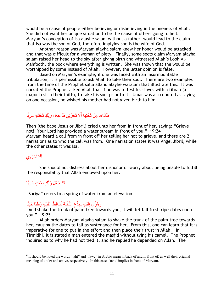would be a cause of people either believing or disbelieving in the oneness of Allah. She did not want her unique situation to be the cause of others going to hell. Maryam"s conception of Isa alayhe salam without a father, would lead to the claim that Isa was the son of God, therefore implying she is the wife of God.

Another reason was Maryam alayha salam knew her honor would be attacked, and that was difficult for a woman of piety. Finally, some sects claim Maryam alayha salam raised her head to the sky after giving birth and witnessed Allah"s Looh Al-Mahfooth, the book where everything is written. She was shown that she would be worshipped by some instead of Allah. However, the latter opinion is false.

Based on Maryam"s example, if one was faced with an insurmountable tribulation, it is permissible to ask Allah to take their soul. There are two examples from the time of the Prophet salla allahu alayhe wasalam that illustrate this. It was narrated the Prophet asked Allah that if he was to test his slaves with a fitnah (a major test in their faith), to take his soul prior to it. Umar was also quoted as saying on one occasion, he wished his mother had not given birth to him.

## فَنَادَاهَا مِنْ تَحْتِهَا أَلَّا تَحْزَنِي قَدْ جَعَلَ رَبُّكِ تَحْتَكِ سَرِيًّا ًح ِإ

Then (the babe Jesus or Jibril) cried unto her from in front of her, saying: "Grieve not! Your Lord has provided a water stream in front of you." 19:24 Maryam heard a call from in front of $^6$  her telling her not to grieve, and there are 2 narrations as to who the call was from. One narration states it was Angel Jibril, while the other states it was Isa.

# أَلَّا تَحْزَرْي

 $\overline{a}$ 

She should not distress about her dishonor or worry about being unable to fulfill the responsibility that Allah endowed upon her.

### قَدْ جَعَلَ رَبُّكِ تَحْتَكِ سَرِيًّا ًح ِإ

"Sariya" refers to a spring of water from an elevation.

#### وَ هُزِّ ي إِلَيْكِ بِجِذْعِ النَّخْلَةِ تُسَاقِطْ عَلَيْكِ رُطَبًا جَنِيًّا ِإ اَط ِإ

"And shake the trunk of palm-tree towards you, it will let fall fresh ripe-dates upon you." 19:25

Allah orders Maryam alayha salam to shake the trunk of the palm-tree towards her, causing the dates to fall as sustenance for her. From this, one can learn that it is imperative for one to put in the effort and then place their trust in Allah. In Tirmidhi, it is stated a man entered the masjid without tying his camel. The Prophet inquired as to why he had not tied it, and he replied he depended on Allah. The

<sup>&</sup>lt;sup>6</sup> It should be noted the words "taht" and "fawq" in Arabic mean in back of and in front of, as well their original meaning of under and above, respectively. In this case, "taht" implies in front of Maryam.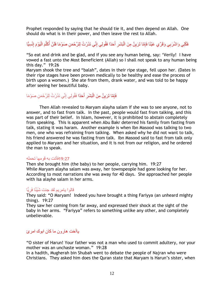Prophet responded by saying that he should tie it, and then depend on Allah. One should do what is in their power, and then leave the rest to Allah.

فَكُلِي وَاشْرَبِي وَقَرِّي عَيْنًا فَإِمَّا تَرَيِنَّ مِنَ الْبَشَرِ أَحَدًا فَقُولِي إِنِّي نَذَرْتُ لِلرَّحْمَنِ صَوْمًا فَلَنْ أَكَلَّمَ الْيَوْمَ إِنْسِيًّا ِإ ْص َط ْص َط ِّر ا<br>أ َط ِإ ْص ِإ

"So eat and drink and be glad, and if you see any human being, say: "Verily! I have vowed a fast unto the Most Beneficient (Allah) so I shall not speak to any human being this day." 19:26

Maryam shook the tree and "balah", dates in their ripe stage, fell upon her. (Dates in their ripe stages have been proven medically to be healthy and ease the process of birth upon a women.) She ate from them, drank water, and was told to be happy after seeing her beautiful baby.

#### فَإِمَّا تَرَيِنَّ مِنَ الْبَشَرِ أَحَدًا فَقُولِي إِنِّي نَذَرْتُ لِلرَّحْمَنِ صَوْمًا َط ِإ ْص ِإ

Then Allah revealed to Maryam alayha salam if she was to see anyone, not to answer, and to fast from talk. In the past, people would fast from talking, and this was part of their belief. In Islam, however, it is prohibited to abstain completely from speaking. This is apparent when Abu Bakr deterred his family from fasting from talk, stating it was haram. Another example is when Ibn Masood was talking to two men, one who was refraining from talking. When asked why he did not want to talk, his friend answered he was fasting from talk. Ibn Masood said to fast from talk only applied to Maryam and her situation, and it is not from our religion, and he ordered the man to speak.

# 19:27فأتت يه قو مها تحمله

Then she brought him (the baby) to her people, carrying him. 19:27 While Maryam alayha salam was away, her townspeople had gone looking for her. According to most narrations she was away for 40 days. She approached her people with Isa alayhe salam in her arms.

#### الوا يامريم لقد جئت شَيْئًا فَرِيًّا ًح ِإ

They said: "O Maryam! Indeed you have brought a thing Fariyya (an unheard mighty thing). 19:27

They saw her coming from far away, and expressed their shock at the sight of the baby in her arms. "Fariyya" refers to something unlike any other, and completely unbelievable.

# ياأخت هارون ما كان ابوك امرئ

"O sister of Harun! Your father was not a man who used to commit adultery, nor your mother was an unchaste woman." 19:28

In a hadith, Mugherah bin Shubah went to debate the people of Najran who were Christians. They asked him does the Quran state that Maryam is Harun"s sister, when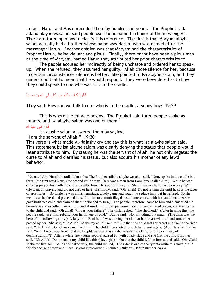in fact, Harun and Musa preceded them by hundreds of years. The Prophet salla allahu alayhe wasalam said people used to be named in honor of the messengers. There are three opinions to clarify this reference. The first is that Maryam alayha salam actually had a brother whose name was Harun, who was named after the messenger Harun. Another opinion was that Maryam had the characteristics of Prophet Harun, being vigilant and pious. Finally, there might have been a pious man at the time of Maryam, named Harun they attributed her prior characteristics to.

The people accused her indirectly of being unchaste and ordered her to speak up. When she refused, they assumed her guilty. Allah chose silence for her, because in certain circumstances silence is better. She pointed to Isa alayhe salam, and they understood that to mean that he would respond. They were bewildered as to how they could speak to one who was still in the cradle.

# قالو ا كيف نكلم من كان فى المهد صببا

They said: How can we talk to one who is in the cradle, a young boy? 19:29

This is where the miracle begins. The Prophet said three people spoke as infants, and Isa alayhe salam was one of them.<sup>7</sup> قال انى عبدالله

Isa alayhe salam answered them by saying,

"I am the servant of Allah." 19:30

This verse is what made Al-Najashy cry and say this is what Isa alayhe salam said. This statement by Isa alayhe salam was clearly denying the status that people would later attribute to him. By stating he was the servant of Allah, he not only negates the curse to Allah and clarifies his status, but also acquits his mother of any lewd behavior.

 $\overline{a}$  $<sup>7</sup>$  Narrated Abu Hurairah, radiullahu anhu: The Prophet sallahu alayhe wasalam said, "None spoke in the cradle but</sup> three: (the first was) Jesus, (the second child was): There was a man from Bani Israel called Juraij. While he was offering prayer, his mother came and called him. He said (to himself), "Shall I answer her or keep on praying?" (He went on praying and did not answer her). His mother said, "Oh Allah! Do not let him die until he sees the faces of prostitutes." So while he was in his hermitage, a lady came and sought to seduce him, but he refused. So she went to a shepherd and presented herself to him to commit illegal sexual intercourse with her, and then later she gave birth to a child and claimed that it belonged to Juraij. The people, therefore, came to him and dismantled his hermitage and expelled him out of it and abused him. Juraij performed ablution and offered prayer, and then came to the child and said: "Oh child! Who is your father?" The child replied, "The shepherd." (After hearing this) the people said, "We shall rebuild your hermitage of gold." But he said, "No, of nothing but mud." (The third was the hero of the following story.) A lady from Bani Israel was nursing her child at her breast when a handsome rider passed by her. She said, "Oh Allah! Make my child like him." On that, the child left her breast and facing the rider said, "Oh Allah! Do not make me like him." The child then started to such her breast again. (Abu Hurairah further said, "As if I were now looking at the Prophte salla allahu alayhe wasalam sucking his finger (in way of demonstration.")) After a while they (some people) passed by, with a lady slave and she (i.e. the child's mother) said, "Oh Allah! Do not make my child like this (slave-girl)!" On that the child left her breast, and said, "Oh Allah! Make me like her." When she asked why, the child replied, "The rider is one of the tyrants while this slave-girl is falsely accuse of theft and illegal sexual intercourse." (Sahih al-Bukhari, Hadith number 3436).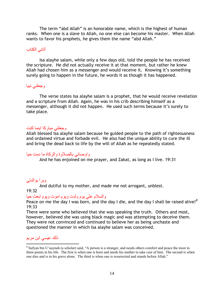The term "abd Allah" is an honorable name, which is the highest of human ranks. When one is a slave to Allah, no one else can become his master. When Allah wants to favor his prophets, he gives them the name "abd Allah."

## أتاني الكتاب

Isa alayhe salam, while only a few days old, told the people he has received the scripture. He did not actually receive it at that moment, but rather he knew Allah had chosen him as a messenger and would receive it. Knowing it's something surely going to happen in the future, he words it as though it has happened.

# وجعلني نبيا

The verse states Isa alayhe salam is a prophet, that he would receive revelation and a scripture from Allah. Again, he was in his crib describing himself as a messenger, although it did not happen. He used such terms because it's surely to take place.

## وجعلني مباركا اينما كنت

Allah blessed Isa alayhe salam because he guided people to the path of righteousness and ordained virtue and forbade evil. He also had the unique ability to cure the ill and bring the dead back to life by the will of Allah as he repeatedly stated.

## واوصاني بالصلاوة والزكاة ما دمت حيا

And he has enjoined on me prayer, and Zakat, as long as I live. 19:31

## وبرا بوالدتى

And dutiful to my mother, and made me not arrogant, unblest.

## 19:32

 $\overline{a}$ 

## والسلام على يوم ولدت ويوم اموت ويوم ابعث حيا

Peace on me the day I was born, and the day I die, and the day I shall be raised alive!*<sup>8</sup>* 19:33

There were some who believed that she was speaking the truth. Others and most, however, believed she was using black magic and was attempting to deceive them. They were not convinced and continued to believe her as being unchaste and questioned the manner in which Isa alayhe salam was conceived.

# ذلك عيسى ابن مريم

<sup>&</sup>lt;sup>8</sup> Sufyan bin U'uaynah (a scholar) said, "A person is a stranger, and needs others comfort and peace the most in three points in his life. The first is when one is born and needs his mother to take care of him. The second is when one dies and is in his grave alone. The third is when one is resurrected and stands before Allah."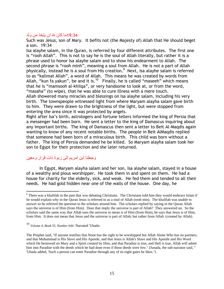## 19:34ما كان لله ان يتخذ من ولد

Such was Jesus, son of Mary. It befits not (the Majesty of) Allah that He should beget a son. 19:34

Isa alayhe salam, in the Quran, is referred by four different attributes. The first one is "rooh Allah". This is not to say he is the soul of Allah literally, but rather it is a phrase used to honor Isa alayhe salam and to show his endearment to Allah. The second phrase is "rooh minh", meaning a soul from Allah. He is not a part of Allah physically, instead he is a soul from His creation.<sup>9</sup> Next, Isa alayhe salam is referred to as "kalimat Allah", a word of Allah. This means he was created by words from Allah, "kun fa yakun", be and it is. $^{10}$  Finally, he is called "maseeh" which means that he is "mamsooh al-khilqa", or very handsome to look at, or from the word, "masaha" (to wipe), that he was able to cure illness with a mere touch.

Allah showered many miracles and blessings on Isa alayhe salam, including his very birth. The townspeople witnessed light from where Maryam alayha salam gave birth to him. They were drawn to the brightness of the light, but were stopped from entering the area since it was protected by angels.

Right after Isa"s birth, astrologers and fortune tellers informed the king of Persia that a messenger had been born. He sent a letter to the king of Damascus inquiring about any important births. The king of Damascus then sent a letter to Beit Al-Maqdis again wanting to know of any recent notable births. The people in Beit AlMaqdis replied that someone had been born of a miraculous birth. This child was born without a father. The king of Persia demanded he be killed. So Maryam alayha salam took her son to Egypt for their protection and she later returned.

# و جعلنا ابن امر بم الى ر بو ة ذات قر ار و معبن

 $\overline{a}$ 

In Egypt, Maryam alayha salam and her son, Isa alayhe salam, stayed in a house of a wealthy and pious worshipper. He took them in and spent on them. He had a house for charity for the elderly, sick, and weak. He fed them and tended to all their needs. He had gold hidden near one of the walls of the house. One day, he

<sup>&</sup>lt;sup>9</sup> There was a khalifah in the past that was debating Christians. The Christians told him they would embrace Islam if he would explain why in the Quran Jesus is referred to as a soul of Allah (rooh min). The khalifah was unable to answer so he referred the question to the scholars around him. The scholars replied by saying in the Quran Allah says the universe is of Him (from Him). Does that imply the universe is part of Allah? They answered no. So the scholars said the same way that Allah uses the universe to mean is of Him (from Him), he says that Jesus is of Him, from Him. It does not mean that Jesus and the universe is part of Allah, but rather from Allah (created by Allah).

<sup>10</sup> *Volume 4, Book 55, Number 644:* Narrated 'Ubada:

The Prophet said, "If anyone testifies that None has the right to be worshipped but Allah Alone Who has no partners, and that Muhammad is His Slave and His Apostle, and that Jesus is Allah's Slave and His Apostle and His Word which He bestowed on Mary and a Spirit created by Him, and that Paradise is true, and Hell is true, Allah will admit him into Paradise with the deeds which he had done even if those deeds were few." (Junada, the sub-narrator said, " 'Ubada added, 'Such a person can enter Paradise through any of its eight gates he likes.")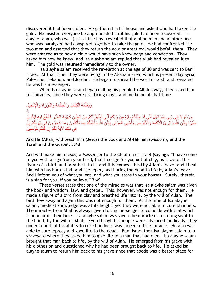discovered it had been stolen. He gathered in his house and asked who had taken the gold. He insisted everyone be apprehended until his gold had been recovered. Isa alayhe salam, who was just a little boy, revealed that a blind man and another one who was paralyzed had conspired together to take the gold. He had confronted the two men and asserted that they return the gold or great evil would befall them. They were amazed as to how a child would have such knowledge and conviction. They asked him how he knew, and Isa alayhe salam replied that Allah had revealed it to him. The gold was returned immediately to the owner.

Isa alayhe salam received the revelation at the age of 30 and was sent to Bani Israel. At that time, they were living in the Al-Sham area, which is present day Syria, Palestine, Lebanon, and Jordan. He began to spread the word of God, and revealed he was his messenger.

When Isa alayhe salam began calling his people to Allah"s way, they asked him for miracles, since they were practicing magic and medicine at that time.

#### ِيُعَلِّمُهُ الْكِتَابَ وَالْحِكْمَةَ وَالنَّوْرَاةَ وَالْإِنْجِيل ْص ْص ِّر

 $\acute{\circ}$ وَرَسُوٍ لَا إِلَى بَنِي إِسْرَ إِئِيلَ أَنِّي قَدْ جِئْتُكُمْ بِآيَةٍ مِنْ رَبِّكُمْ أَنِّي أَخْلُقُ لَكُمْ مِنَ الطِّينِ كَهَيْئَةِ الطَّيْرِ فَأَنْفُخُ فِيهِ فَيَكُونُ َط ِإ ا<br>ا َط ِ<br>الأَمُّ َط ِإ ِإ طَيْرًا بِإِذْنِ اللَّهِ وَأُبْرِئُ الْأَكْمَهَ وَالْأَبْرَصَ وَأُخْيِيَ الْمَوْتَى بِإِذْنِ اللَّهِ وَأُنَبِّئُكُمْ بِمَا تَأْكُلُونَ وَمَا تَدَّخِرُونَ فِي بُيُوتِكُمْ إِنَّ ِإ ْص ر<br>أ ِإ ْص ا<br>أ ِإ ُن ِإ فِي ذَلِكَ لَآيَةً لَكُمْ إِنْ كُنْتُمْ مُؤْمِنِينَ ِإ

And He (Allah) will teach him (Jesus) the Book and Al-Hikmah (wisdom), and the Torah and the Gospel. 3:48

And will make him (Jesus) a Messenger to the Children of Israel (saying): "I have come to you with a sign from your Lord, that I design for you out of clay, as it were, the figure of a bird, and breathe into it, and it becomes a bird by Allah"s leave; and I heal him who has born blind, and the leper, and I bring the dead to life by Allah"s leave. And I inform you of what you eat, and what you store in your houses. Surely, therein is a sign for you, if you believe." 3:49

These verses state that one of the miracles was that Isa alayhe salam was given the book and wisdom, law, and gospel. This, however, was not enough for them. He made a figure of a bird from clay and breathed life into it, by the will of Allah. The bird flew away and again this was not enough for them. At the time of Isa alayhe salam, medical knowledge was at its height, yet they were not able to cure blindness. The miracles from Allah is always given to the messenger to coincide with that which is popular of their time. Isa alayhe salam was given the miracle of restoring sight to the blind, by the will of Allah. Even though his people were advanced medically, they understood that his ability to cure blindness was indeed a true miracle. He also was able to cure leprosy and gave life to the dead. Bani Israel took Isa alayhe salam to a graveyard where they asked him to give life to a man that had died. Isa alayhe salam brought that man back to life, by the will of Allah. He emerged from his grave with his clothes on and questioned why he had been brought back to life. He asked Isa alayhe salam to return him back to his grave since that abode was a better place for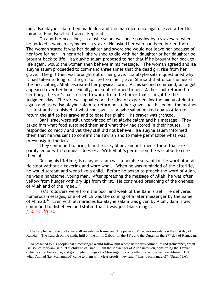him. Isa alayhe salam then made dua and the man died once again. Even after this miracle, Bani Israel still were skeptical.

On another occasion, Isa alayhe salam was once passing by a graveyard when he noticed a woman crying over a grave. He asked her who had been buried there. The woman stated it was her daughter and swore she would not leave her because of her love for her. In her grief, she wished to die with her daughter or her daughter be brought back to life. Isa alayhe salam proposed to her that if he brought her back to life again, would the woman then believe in his message. The woman agreed and Isa alayhe salam proceeded to command three times that the dead girl rise from her grave. The girl then was brought out of her grave. Isa alayhe salam questioned why it had taken so long for the girl to rise from her grave. She said that once she heard the first calling, Allah recreated her physical form. At his second command, an angel appeared over her head. Finally, her soul returned to her. As her soul returned to her body, the girl"s hair turned to white from the horror that it might be the judgment day. The girl was appalled at the idea of experiencing the agony of death again and asked Isa alayhe salam to return her to her grave. At this point, the mother is silent and astonished at what she saw. Isa alayhe salam maked dua to Allah to return the girl to her grave and to ease her plight. His prayer was granted.

Bani Israel were still unconvinced of Isa alayhe salam and his message. They asked him what food sustained them and what they had stored in their houses. He responded correctly and yet they still did not believe. Isa alayhe salam informed them that he was sent to confirm the Tawrah and to make permissible what was previously forbidden.

They continued to bring him the sick, blind, and infirmed - those that are paralyzed or with terminal illnesses. With Allah"s permission, he was able to cure them all.

During his lifetime, Isa alayhe salam was a humble servant to the word of Allah. He slept without a covering and wore wool. When he was reminded of the afterlife, he would scream and weep like a child. Before he began to preach the word of Allah, he was a handsome, young man. After spreading the message of Allah, he was often yellow from hunger with dry lips from thirst. He continued preaching of the oneness of Allah and of the Injeel. $11$ 

Isa"s followers were from the poor and weak of the Bani Israel. He delivered numerous messages, one of which was the coming of a later messenger by the name of Ahmad.<sup>12</sup> Even with all miracles Isa alayhe salam was given by Allah, Bani Israel continued to disbelieve and stated that it was just black magic. إِنْ هَذَا إِلاَّ سِحْرٌ مُّبِينٌ ِإ ِإ

 $\overline{a}$ 

 $11$  The Prophet said the books were all revealed in Ramadan. The pages of Musa was revealed on the first day of Ramdan. The Tawrah on the sixth, Injil on the ninth, Zaboor on the  $18<sup>th</sup>$ , and the Quran on the  $27<sup>th</sup>$  day of Ramadan.

<sup>&</sup>lt;sup>12</sup> Isa preached to his people that a messenger would follow him whose name was Ahmad. "And (remember) when Isa, son of Maryam, said: "Oh children of Israel! I am the Messenger of Allah unto you, confirming the Tawrah (which came) before me, and giving glad tidings of a Messenger to come after me, whose name is Ahmad. But when Ahmad (i.e. Muhammad) came to them with clear proofs, they said: "This is plain magic!" (Surat 61:6).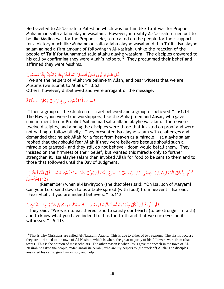He traveled to Al-Nasirah in Palestine which was for him like Ta"if was for Prophet Muhammad salla allahu alayhe wasalam. However, in reality Al-Nasirah turned out to be like Madina was for the Prophet. He, too, called on the people for their support for a victory much like Muhammad salla allahu alayhe wasalam did in Ta"if. Isa alayhe salam gained a firm amount of following in Al-Nasirah, unlike the reaction of the people of Ta"if for Muhammad salla allahu alayhe wasalam. The disciples answered to his call by confirming they were Allah's helpers.<sup>13</sup> They proclaimed their belief and affirmed they were Muslims.

#### قَالَ الْحَوَارِيُّونَ نَحْنُ أَنصَارُ اللَّهِ آمَنَّا بِاللَّهِ وَاشْهَدْ بِأَنَّا مُسْلِمُونَ َط ِإ ِإ َط ِإ ْص

"We are the helpers of Allah; we believe in Allah, and bear witness that we are Muslims (we submit to Allah)." 3:52 Others, however, disbelieved and were arrogant of the message.

## فَأَمَنَت طَّائِفَةٌ مِّن بَنِي إِسْرَ ائِيلَ وَكَفَرَت طَّائِفَةٌ ِإ

 $\overline{a}$ 

"Then a group of the Children of Israel believed and a group disbelieved." 61:14 The Hawiryoon were true worshippers, like the Muhajireen and Ansar, who gave commitment to our Prophet Muhammad salla allahu alayhe wasalam. There were twelve disciples, and among the disciples were those that insisted on proof and were not willing to follow blindly. They presented Isa alayhe salam with challenges and demanded that he ask Allah for a feast from heaven as a miracle. Isa alayhe salam replied that they should fear Allah if they were believers because should such a miracle be granted - and they still do not believe – doom would befall them. They insisted on the firmness of their belief, but wanted this miracle only to further strengthen it. Isa alayhe salam then invoked Allah for food to be sent to them and to those that followed until the Day of Judgment.

## كُنثُم ۚ إِذْ قَالَ الْحَوَارِ يُّونَ يَا عِيسَى ابْنَ مَرْيَمَ هَلْ يَسْتَطِيعُ رَبُّكَ أَن يُنَزِّلَ عَلَيْنَا مَآئِدَةً مِّنَ السَّمَاء قَالَ اتَّقُواْ اللَّهَ إِن ِإ ْص َ (112)مُّؤْمِنينَ

(Remember) when al-Hawiryoon (the disciples) said: "Oh Isa, son of Maryam! Can your Lord send down to us a table spread (with food) from heaven?" Isa said, "Fear Allah, if you are indeed believers." 5:112

#### قَالُواْ نُرِيدُ أَن نَّأْكُلَ مِنْهَا وَتَطْمَئِنَّ قُلُوبُنَا وَنَعْلَمَ أَن قَدْ صَدَقْتَنَا وَنَكُونَ عَلَيْهَا مِنَ الشَّاهِدِينَ َط ْص ِإ ْص

They said: "We wish to eat thereof and to satisfy our hearts (to be stronger in faith), and to know what you have indeed told us the truth and that we ourselves be its witnesses." 5:113

<sup>&</sup>lt;sup>13</sup> That is why Christians are called Al-Nasara in Arabic. This is due to either of two reasons. The first is because they are attributed to the town of Al-Nasirah, which is where the great majority of his followers were from (that town). This is the opinion of most scholars. The other reason is when Jesus gave the speech in the town of Al-Nasirah he asked the people, "Man ansari ila Allah", who are my helpers to (the work of) Allah? The disciples answered his call to give him victory and help.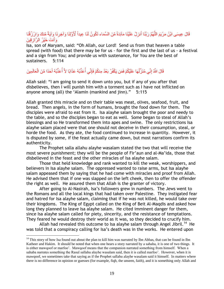#### قَالَ عِيسَى ابْنُ مَرْيَمَ اللَّهُمَّ رَبَّنَا أَنزِلْ عَلَيْنَا مَآئِدَةً مِّنَ السَّمَاء تَكُونُ لَنَا عِيداً لِّأَوَّلِنَا وَآخِرِنَا وِآيَةً مِّنكَ وَاِرْزُقْنَا ِإ ِإ َط َّن َط َ وَأَنتَ خَيْرُ الرَّازِقِينَ ِإ َط

Isa, son of Maryam, said: "Oh Allah, our Lord! Send us from that heaven a table spread (with food) that there may be for us - for the first and the last of us - a festival and a sign from You; and provide us with sustenance, for You are the best of sustainers. 5:114

#### قَالَ اللَّهُ إِنِّي مُنَزِّ لُهَا عَلَيْكُمْ فَمَن يَكْفُرْ بَعْدُ مِنكُمْ فَإِنِّي أَعَذِّبُهُ عَذَابَا لاَّ أَعَذِّبُهُ أَحَدًا مِّنَ الْعَالَمِينَ ْص َط ُن ُن

Allah said: "I am going to send it down unto you, but if any of you after that disbelieves, then I will punish him with a torment such as I have not inflicted on anyone among (all) the "Alamin (mankind and jinn)." 5:115

Allah granted this miracle and on their table was meat, olives, seafood, fruit, and bread. Then angels, in the form of humans, brought the food down for them. The disciples were afraid to eat from it. Isa alayhe salam brought the poor and needy to the table, and so the disciples began to eat as well. Some began to steal of Allah"s blessings and so He transformed them into apes and swine. The only restrictions Isa alayhe salam placed were that one should not deceive in their consumption, steal, or horde the food. As they ate, the food continued to increase in quantity. However, it is disputed by some, if the feast actually came down, but most narrations confirm its authenticity.

The Prophet salla allahu alayhe wasalam stated the two that will receive the most severe punishment; they will be the people of Fir"aun and al-Ma"ida, those that disbelieved in the feast and the other miracles of Isa alayhe salam.

Those that held knowledge and rank wanted to kill the weak, worshippers, and believers in Isa alayhe salam. The oppressed wanted to raise arms, but Isa alayhe salam appeased them by saying that he had come with miracles and proof from Allah. He advised them that if one was slapped on the left cheek, then to offer the offender the right as well. He assured them that Allah is the granter of victory.

After going to Al-Nasirah, Isa's followers grew in numbers. The Jews went to the Romans and all the local kings that had taken over Palestine. They instigated fear and hatred for Isa alayhe salam, claiming that if he was not killed, he would take over their kingdoms. The King of Egypt called on the King of Beit Al-Maqdis and asked how long they planned to leave Isa alayhe salam. He cited imminent danger for them, since Isa alayhe salam called for piety, sincerity, and the resistance of temptations. They feared he would destroy their world as it was, so they decided to crucify him.

Allah had revealed this outcome to Isa alayhe salam through Angel Jibril.<sup>14</sup> He was told that a conspiracy calling for Isa"s death was in the works. He entered upon

 $\overline{a}$ 

 $14$  This story of how Isa found out about the plan to kill him was narrated by Ibn Abbas, that can be found in Ibn Katheer and Hakim. It should be noted that when one hears a story narrated by a sahaba, it is one of two things. It is either mawqoof or marfoo'. Mawqoof means that the companion narrated something from himself. When a sahaba narrates something the Rasul sallahu alayhe wasalam said, then it is called marfoo'. However, when it is mawqoof, we sometimes take that saying as if the Prophet sallahu alayhe wasalam said it himself. In matters where there is no difference in opinion or guesses (for example, fiqh, the unseen, faith), and it is something only Allah and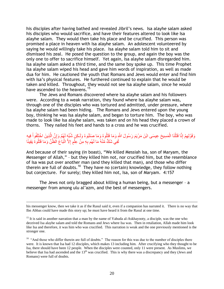his disciples after having bathed and revealed Jibril"s news. Isa alayhe salam asked his disciples who would sacrifice, and have their features altered to look like Isa alayhe salam. They would then take his place and be crucified. This person was promised a place in heaven with Isa alayhe salam. An adolescent volunteered by saying he would willingly take his place. Isa alayhe salam told him to sit and dismissed his zeal. He posed the question to the group, and again the boy was the only one to offer to sacrifice himself. Yet again, Isa alayhe salam disregarded him. Isa alayhe salam asked a third time, and the same boy spoke up. This time Prophet Isa alayhe salam wiped his head and gave him words of inspiration, as well as made dua for him. He cautioned the youth that Romans and Jews would enter and find him with Isa's physical features. He furthered continued to explain that he would be taken and killed. Throughout, they would not see Isa alayhe salam, since he would have ascended to the heavens.<sup>15</sup>

The Jews and Romans discovered where Isa alayhe salam and his followers were. According to a weak narration, they found where Isa alayhe salam was, through one of the disciples who was tortured and admitted, under pressure, where Isa alayhe salam had been hiding. The Romans and Jews entered upon the young boy, thinking he was Isa alayhe salam, and began to torture him. The boy, who was made to look like Isa alayhe salam, was taken and on his head they placed a crown of thorns. They nailed his feet and hands to a cross and he was crucified.

#### ِقَوْلِهِمْ إِنَّا قَتَلْنَا الْمَسِيحَ عِيسَى ابْنَ مَرْيَمَ رَسُولَ اللَّهِ وَمَا قَتَلُوهُ وَمَا صَلَبُوهُ وَلَكِنِ شُبِّهَ لَهُمْ وَإِنَّ الْذِينَ اخْتَلَفُواْ فِيهِ ْص َّن ِإ ْص ْص لَفِي شَكٍّ مِّنْهُ مَا لَـهُم بِهِ مِنْ عِلْمٍ إِلاَّ اتِّبَاٰعَ الظَّنِّ وَمَا قَتَلُوهُ يَقِينًا ْص

And because of their saying (in boast), "We killed Messiah Isa, son of Maryam, the Messenger of Allah," – but they killed him not, nor crucified him, but the resemblance of Isa was put over another man (and they killed that man), and those who differ therein are full of doubts.<sup>16</sup> They have no (certain) knowledge, they follow nothing but conjecture. For surely; they killed him not, Isa, son of Maryam. 4:157

The Jews not only bragged about killing a human being, but a messenger – a messenger from among ulu al'azm, and the best of messengers.

 $\overline{a}$ 

his messenger know, then we take it as if the Rasul said it, even if a companion has narrated it. There is no way that Ibn Abbas could have made this story up; he must have heard it from the Rasul at one time.

<sup>&</sup>lt;sup>15</sup> It is said in another narration that a man by the name of Yahuda al-Askhayooty, a disciple, was the one who deceived Isa alayhe salam and told the Romans and Jews where Isa was. Then in retaliation, Allah made him look like Isa and therefore, it was him who was crucified. This narration is weak and the one previously mentioned is the stronger one.

<sup>&</sup>lt;sup>16</sup> "And those who differ therein are full of doubts." The reason for this was due to the number of disciples there were. It is known that Isa had 12 disciples, which makes 13 including him. After crucifying who they thought to be Isa, there should have been 12 people. When the disciples were counted, only 11 were present. As Muslims, we believe that Isa had ascended and the 13<sup>th</sup> was crucified. This is why there was a discrepancy and they (Jews and Romans) were full of doubts.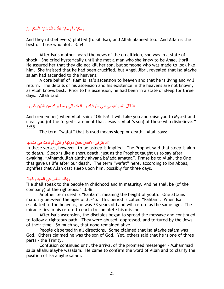#### وَمَكَرُواْ وَمَكَرَ اللَّهُ وَاللَّهُ خَيْرُ الْمَاكِرِينَ ِإ ْص ْص

And they (disbelievers) plotted (to kill Isa), and Allah planned too. And Allah is the best of those who plot. 3:54

After Isa's mother heard the news of the crucifixion, she was in a state of shock. She cried hysterically until she met a man who she knew to be Angel Jibril. He assured her that they did not kill her son, but someone who was made to look like him. She insisted that he had been crucified, but Angel Jibril revealed that Isa alayhe salam had ascended to the heavens.

A core belief of Islam is Isa"s ascension to heaven and that he is living and will return. The details of his ascension and his existence in the heavens are not known, as Allah knows best. Prior to his ascension, he had been in a state of sleep for three days. Allah said:

# اذ قال الله ياعيسى انى متوفيك ورافعك الى ومطهرك من الذين كفروا

And (remember) when Allah said: "Oh Isa! I will take you and raise you to Myself and clear you (of the forged statement that Jesus is Allah"s son) of those who disbelieve." 3:55

The term "wafat" that is used means sleep or death. Allah says:

## الله يتوفى الانفس حين موتها والتي لم تمت في منامها

In these verses, however, to be asleep is implied. The Prophet said that sleep is akin to death. Sleep is like a short death, just as the Prophet taught us to say after awaking, "Alhamdulilah alathy ahyana ba"ada amatna", Praise be to Allah, the One that gave us life after our death. The term "wafat" here, according to Ibn Abbas, signifies that Allah cast sleep upon him, possibly for three days.

## ويكلم الناس في المهد وكهلا

"He shall speak to the people in childhood and in maturity. And he shall be (of the company) of the righteous." 3:46

Another term used is "kahlan", meaning the height of youth. One attains maturity between the ages of 35-45. This period is called "kahlan". When Isa escalated to the heavens, he was 33 years old and will return as the same age. The miracle lies in his return to earth to complete his mission.

After Isa"s ascension, the disciples began to spread the message and continued to follow a righteous path. They were abused, oppressed, and tortured by the Jews of their time. So much so, that none remained alive.

People dispersed in all directions. Some claimed that Isa alayhe salam was God. Others claimed he was the son of God. Yet, others said that he is one of three parts - the Trinity.

Confusion continued until the arrival of the promised messenger – Muhammad salla allahu alayhe wasalam. He came to confirm the word of Allah and to clarify the position of Isa alayhe salam.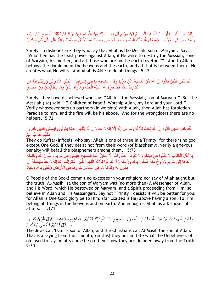#### َط لَقَدْ كَفَرَ الَّذِينَ قَالُوا إِنَّ اللَّهَ هُوَ الْمَسِيحُ ابْنُ مَرْيَمَ قُلْ فَمَنْ يَمْلِكُ مِنَ اللَّهِ شَيْئًا إِنْ أَرَادَ أَنْ يُهْلِكَ الْمَسِيحَ ابْنَ مَرْيَمَ ْص َط َط ِإ ْص ِإ َّن ِأُمَّهُ وَمَنْ فِي الْأَرْضِ جَمِيعًا وَبِلَّهِ مُلْكٌ السَّمَاوَاتِ وَالْأَرْضِ وَمَا بَيْنَهُمَا يَخْلُقُ مَا يَشَاءُ وَاللَّهُ عَلَى كُلِّ شَيْءٍ قَدِيرٌ ا<br>ا ْص ُن

Surely, in disbelief are they who say that Allah is the Mesiah, son of Maryam. Say: "Who then has the least power against Allah, if He were to destroy the Messiah, sone of Maryam, his mother, and all those who are on the earth together?" And to Allah belongs the dominion of the heavens and the earth, and all that is between them. He creates what He wills. And Allah is Able to do all things. 5:17

#### لَقَدْ كَفَرَ الَّذِينَ قَالُوا إِنَّ اللَّهَ هُوَ الْمَسِيحُ ابْنُ مَرِْيَمَ وَقَالَ الْمَسِيحُ يَا بَنِي إِسْرَائِيلَ اعْبُدُوا اللَّهَ رَبِّي وَرَبَّكُمْ إِنَّهُ مَنْ ِإ ْص ْص ِإ َّن يُشّْرِكْ بِاللَّهِ فَقَدْ حَرَّمَ اللَّهُ عَلَيْهِ الْجَنَّةَ وَمَأْوَاهُ النَّارُ وَمَا لِلظَّالِمِينَ مِن أنصار **ٔ** ْص َط ِإ ِإ

Surely, they have disbelieved who say: "Allah is the Messiah, son of Maryam." But the Messiah (Isa) said: "O Children of Israel! Worship Allah, my Lord and your Lord." Verily whosoever sets up partners (in worship) with Allah, then Allah has forbidden Paradise to him, and the fire will be his abode. And for the wrongdoers there are no helpers. 5:72

#### لَقَدْ كَفَرَ الَّذِينَ قَالُوا إِنَّ النَّهَ ثَالِثُ ثَلَاثَةٍ وَمَا مِنْ إِلَهٍ إِلَّا إِلَهٌ وَاحِدٌ وَإِنْ لَمْ يَنْتَهُوا عَمَّا يَقُولُونَ لَيَمَسَّنَّ الَّذِينَ كَفَرُوا َّن ِإ ِإ ِإ اَط ِإ ِإ َّن نْهُمْ عَذَابٌ أَلِيمٌ َط

They do Kuffar/infidels who say: Allah is one of three in a Trinity: for there is no god except One God. If they desist not from their word (of blasphemy), verily a grievous penalty will befall the blasphemers among them. 5:73

يَا أَهْلَ الْكِتَابِ لَا تَغْلُوا فِي دِينِكُمْ وَلَا تَقُولُوا عَلَى اللَّهِ إِلَّا الْحَقَّ إِنَّهَا الْمَسِيحُ عِيسَى ابْنُ مَرْيَمَ رَسُولُ اللَّهِ وَكَلِمَتُهُ ْص ْص ِإ ْص َط أَلْقَاهَا إِلَى مَرْيَمَ وَرُوحٌ مِنْهُ فَآمِنُوا بِاللَّهِ وَرَلسُلِهِ وَلَا تَقُولُوا ثَلَاثَةٌ انْتَهُوا خَيْرًا لَكُمْ إِنَّمَا إِلَّهُ إِلَيهٌ وَاحِدٌ سُبْجَانَهُ أَنْ َط ِإ ِإ ِإ ْص َط يَكُونَ لَهُ وَلَدٌ لَهُ مَا فِي السَّمَاوَاتِ وَمَا فِي الْأَرْضُ ِ وَكَفَى بِاللَّهِ وكيلا ِإ

O People of the Book! commit no excesses in your religion: nor say of Allah aught but the truth. Al-Masih 'Isa the son of Maryam was (no more than) A Messenger of Allah, and His Word, which He bestowed on Maryam, and a Spirit proceeding from Him: so believe in Allah and His Messengers. Say not "Trinity": desist: it will be better for you: for Allah is One God: glory be to Him: (far Exalted is He) above having a son. To Him belong all things in the heavens and on earth. And enough is Allah as a Disposer of affairs. 4:171

#### ِقَالَتِ الْيَهُودُ عُزَيْرٌ ابْنُ اللَّهِ وَقَالَتِ النَّصَارَى الْمَسِيحُ ابْنُ اللَّهِ ذَلِكَ قَوْلُهُمْ بِأَفْوَاهِهِمْ يُضِاهِئُونَ قَوْلٍ الِّذِينَ كَفَرُوا َّن َط ِإ ْص ْص مِنْ قَبْلُ قَاتَلَهُمُ اللَّهُ أَنَّى يُؤْفَكُونَ َط

The Jews call 'Uzair a son of Allah, and the Christians call Al-Masih the son of Allah. That is a saying from their mouth; (in this) they but imitate what the Unbelievers of old used to say. Allah's curse be on them: how they are deluded away from the Truth! 9:30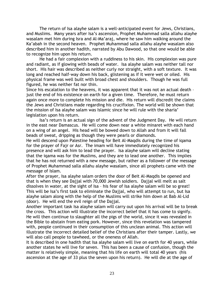The return of Isa alayhe salam is a well-anticipated event for Jews, Christians, and Muslims. Many years after Isa's ascension, Prophet Muhammad salla allahu alayhe wasalam met him during Isra and Al-Ma"araj, where he saw him walking around the Ka"abah in the second heaven. Prophet Muhammad salla allahu alayhe wasalam also described him in another hadith, narrated by Abu Dawood, so that one would be able to recognize him upon his return.

He had a fair complexion with a ruddiness to his skin. His complexion was pure and radiant, as if glowing with beads of water. Isa alayhe salam was neither tall nor short. His hair was described as neither curly nor straight, with a soft texture. It was long and reached half-way down his back, glistening as if it were wet or oiled. His physical frame was well built with broad chest and shoulders. Though he was full figured, he was neither fat nor thin.

Since his escalation to the heavens, it was apparent that it was not an actual death – just the end of his existence on earth for a given time. Therefore, he must return again once more to complete his mission and die. His return will discredit the claims the Jews and Christians made regarding his crucifixion. The world will be shown that the mission of Isa alayhe salam was Islamic since he will rule with the sharia" legislation upon his return.

Isa"s return is an actual sign of the advent of the Judgment Day. He will return in the east near Damascus. He will come down near a white minaret with each hand on a wing of an angel. His head will be bowed down to Allah and from it will fall beads of sweat, dripping as though they were pearls or diamonds.

He will descend upon Palestine heading for Beit Al-Maqdis during the time of iqama for the prayer of Fajr or Asr. The imam will have immediately recognized his presence and will ask him to lead the prayer. Isa alayhe salam will decline stating that the iqama was for the Muslims, and they are to lead one another. This implies that he has not returned with a new message, but rather as a follower of the message of Prophet Muhammad salla allahu alayhe wasalam, since all prophets came with the message of Islam.

After the prayer, Isa alayhe salam orders the door of Beit Al-Maqdis be opened and that is when they see Dajjal with 70,000 Jewish soldiers. Dajjal will melt as salt dissolves in water, at the sight of Isa – his fear of Isa alayhe salam will be so great! This will be Isa"s first task to eliminate the Dajjal, who will attempt to run, but Isa alayhe salam along with the help of the Muslims will strike him down at Bab Al-Lid (door). He will end the evil reign of the Dajjal.

Another important task Isa alayhe salam will carry out upon his arrival will be to break the cross. This action will illustrate the incorrect belief that it has come to signify. He will then continue to slaughter all the pigs of the world, since it was revealed in the Bible to abstain from eating pork. However, since this revelation was tampered with, people continued in their consumption of this unclean animal. This action will illustrate the incorrect detailed belief of the Christians after their tamper. Lastly, we will also call people to tawheed, or the oneness of Allah.

It is described in one hadith that Isa alayhe salam will live on earth for 40 years, while another states he will live for seven. This has been a cause of confusion, though the matter is relatively simple, meaning that his life on earth will total 40 years (his ascension at the age of 33 plus the seven upon his return). He will die at the age of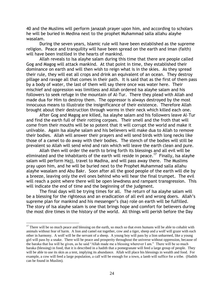40 and the Muslims will perform janazah prayer upon him, and according to scholars he will be buried in Medina next to the prophet Muhammad salla allahu alayhe wasalam.

During the seven years, Islamic rule will have been established as the supreme religion. Peace and tranquility will have been spread on the earth and iman (faith) will have been instilled in the hearts of mankind.

Allah reveals to Isa alayhe salam during this time that there are people called Gog and Magog will attack mankind. At that point in time, they established their dominance on earth and will then wish to reign what is in the skies. As they spread their rule, they will eat all crops and drink an equivalent of an ocean. They destroy pillage and ravage all that comes in their path. It is said that as the first of them pass by a body of water, the last of them will say there once was water here. Their mischief and oppression was limitless and Allah ordered Isa alayhe salam and his followers to seek refuge in the mountain of Al-Tur. There they plead with Allah and made dua for Him to destroy them. The oppressor is always destroyed by the most innocuous means to illustrate the insignificance of their existence. Therefore Allah brought about their destruction through worms in their neck which killed each one.

After Gog and Magog are killed, Isa alayhe salam and his followers leave Al-Tur and find the earth full of their rotting corpses. Their smell and the froth that will come from their mouths will be so potent that it will corrupt the world and make it unlivable. Again Isa alayhe salam and his believers will make dua to Allah to remove their bodies. Allah will answer their prayers and will send birds with long necks like those of a camel to do away with their bodies. The stench of the bodies will still be prevalent so Allah will send wind and rain which will leave the earth clean and pure.

Allah then will order the earth to bring forth its blessings and all evil will be eliminated and the inhabitants of the earth will reside in peace.<sup>17</sup> Finally, Isa alayhe salam will perform Hajj, travel to Madina, and will pass away there. The Muslims pray upon him, and he will be buried next to the Prophet Muhammad salla allahu alayhe wasalam and Abu Bakr. Soon after all the good people of the earth will die by a breeze, leaving only the evil ones behind who will hear the final trumpet. The evil will reach a point where there will be open lewdness and rampant transgression. This will indicate the end of time and the beginning of the judgment.

The final days will be trying times for all. The return of Isa alayhe salam will be a blessing for the righteous and an eradication of all evil and wrong doers. Allah"s supreme plan for mankind and his messenger's (Isa) role on earth will be fulfilled. The story of Isa alayhe salam is one that brings hope and comfort for believers during the most dire times in the history of the world. All things will perish before the Day

 $\overline{a}$ 

 $17$  There will be so much peace and blessing on the earth, so much so that even humans will be able to cohabit with animals without fear of harm. A lion and camel eat together, cow and a tiger, sheep and a wolf will graze with each other in harmony. A wolf will be the servant of a sheep. A young boy will pass by a lion unharmed, like a young girl will pass by a snake. There will be peace and prosperity throughout the universe without oppression, because of the baraka that Isa will be given, as he said "Allah made me a blessing wherever I am." There will be so much baraka (blessing) in food, that it is described in a hadith that a pomegranate will feed a large group of people. They will be able to use its skin as a tent, implying its abundance. Allah will place his blessings in wealth and food. For example, a cow will feed a large population, a calf will be enough for a town, a lamb will suffice for a tribe. (Hadith can be found in Muslim).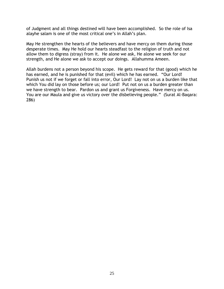of Judgment and all things destined will have been accomplished. So the role of Isa alayhe salam is one of the most critical one's in Allah's plan.

May He strengthen the hearts of the believers and have mercy on them during those desperate times. May He hold our hearts steadfast to the religion of truth and not allow them to digress (stray) from it. He alone we ask, He alone we seek for our strength, and He alone we ask to accept our doings. Allahumma Ameen.

Allah burdens not a person beyond his scope. He gets reward for that (good) which he has earned, and he is punished for that (evil) which he has earned. "Our Lord! Punish us not if we forget or fall into error, Our Lord! Lay not on us a burden like that which You did lay on those before us; our Lord! Put not on us a burden greater than we have strength to bear. Pardon us and grant us Forgiveness. Have mercy on us. You are our Maula and give us victory over the disbelieving people." (Surat Al-Baqara: 286)